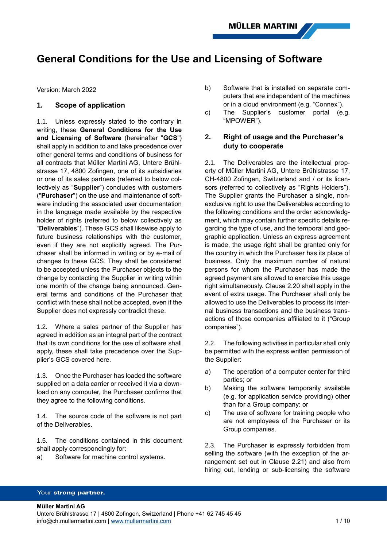# **General Conditions for the Use and Licensing of Software**

Version: March 2022

## **1. Scope of application**

1.1. Unless expressly stated to the contrary in writing, these **General Conditions for the Use and Licensing of Software** (hereinafter "**GCS**") shall apply in addition to and take precedence over other general terms and conditions of business for all contracts that Müller Martini AG, Untere Brühlstrasse 17, 4800 Zofingen, one of its subsidiaries or one of its sales partners (referred to below collectively as "**Supplier**") concludes with customers ("**Purchaser**") on the use and maintenance of software including the associated user documentation in the language made available by the respective holder of rights (referred to below collectively as "**Deliverables**"). These GCS shall likewise apply to future business relationships with the customer, even if they are not explicitly agreed. The Purchaser shall be informed in writing or by e-mail of changes to these GCS. They shall be considered to be accepted unless the Purchaser objects to the change by contacting the Supplier in writing within one month of the change being announced. General terms and conditions of the Purchaser that conflict with these shall not be accepted, even if the Supplier does not expressly contradict these.

1.2. Where a sales partner of the Supplier has agreed in addition as an integral part of the contract that its own conditions for the use of software shall apply, these shall take precedence over the Supplier's GCS covered here.

1.3. Once the Purchaser has loaded the software supplied on a data carrier or received it via a download on any computer, the Purchaser confirms that they agree to the following conditions.

1.4. The source code of the software is not part of the Deliverables.

1.5. The conditions contained in this document shall apply correspondingly for:

a) Software for machine control systems.

- b) Software that is installed on separate computers that are independent of the machines or in a cloud environment (e.g. "Connex").
- c) The Supplier's customer portal (e.g. "MPOWER").

# **2. Right of usage and the Purchaser's duty to cooperate**

2.1. The Deliverables are the intellectual property of Müller Martini AG, Untere Brühlstrasse 17, CH-4800 Zofingen, Switzerland and / or its licensors (referred to collectively as "Rights Holders"). The Supplier grants the Purchaser a single, nonexclusive right to use the Deliverables according to the following conditions and the order acknowledgment, which may contain further specific details regarding the type of use, and the temporal and geographic application. Unless an express agreement is made, the usage right shall be granted only for the country in which the Purchaser has its place of business. Only the maximum number of natural persons for whom the Purchaser has made the agreed payment are allowed to exercise this usage right simultaneously. Clause [2.20](#page-3-0) shall apply in the event of extra usage. The Purchaser shall only be allowed to use the Deliverables to process its internal business transactions and the business transactions of those companies affiliated to it ("Group companies").

2.2. The following activities in particular shall only be permitted with the express written permission of the Supplier:

- a) The operation of a computer center for third parties; or
- b) Making the software temporarily available (e.g. for application service providing) other than for a Group company: or
- c) The use of software for training people who are not employees of the Purchaser or its Group companies.

2.3. The Purchaser is expressly forbidden from selling the software (with the exception of the arrangement set out in Clause [2.21\)](#page-3-1) and also from hiring out, lending or sub-licensing the software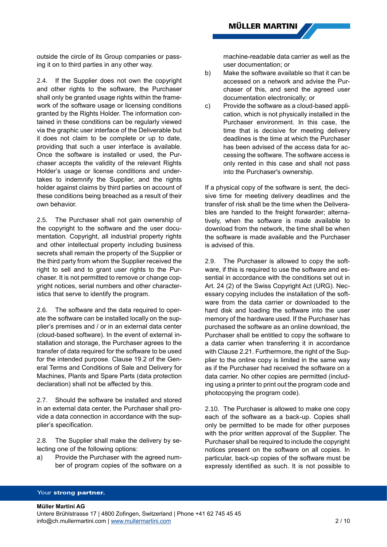outside the circle of its Group companies or passing it on to third parties in any other way.

2.4. If the Supplier does not own the copyright and other rights to the software, the Purchaser shall only be granted usage rights within the framework of the software usage or licensing conditions granted by the Rights Holder. The information contained in these conditions can be regularly viewed via the graphic user interface of the Deliverable but it does not claim to be complete or up to date, providing that such a user interface is available. Once the software is installed or used, the Purchaser accepts the validity of the relevant Rights Holder's usage or license conditions and undertakes to indemnify the Supplier, and the rights holder against claims by third parties on account of these conditions being breached as a result of their own behavior.

2.5. The Purchaser shall not gain ownership of the copyright to the software and the user documentation. Copyright, all industrial property rights and other intellectual property including business secrets shall remain the property of the Supplier or the third party from whom the Supplier received the right to sell and to grant user rights to the Purchaser. It is not permitted to remove or change copyright notices, serial numbers and other characteristics that serve to identify the program.

<span id="page-1-0"></span>2.6. The software and the data required to operate the software can be installed locally on the supplier's premises and / or in an external data center (cloud-based software). In the event of external installation and storage, the Purchaser agrees to the transfer of data required for the software to be used for the intended purpose. Clause 19.2 of the General Terms and Conditions of Sale and Delivery for Machines, Plants and Spare Parts (data protection declaration) shall not be affected by this.

2.7. Should the software be installed and stored in an external data center, the Purchaser shall provide a data connection in accordance with the supplier's specification.

2.8. The Supplier shall make the delivery by selecting one of the following options:

a) Provide the Purchaser with the agreed number of program copies of the software on a machine-readable data carrier as well as the user documentation; or

- b) Make the software available so that it can be accessed on a network and advise the Purchaser of this, and send the agreed user documentation electronically; or
- c) Provide the software as a cloud-based application, which is not physically installed in the Purchaser environment. In this case, the time that is decisive for meeting delivery deadlines is the time at which the Purchaser has been advised of the access data for accessing the software. The software access is only rented in this case and shall not pass into the Purchaser's ownership.

If a physical copy of the software is sent, the decisive time for meeting delivery deadlines and the transfer of risk shall be the time when the Deliverables are handed to the freight forwarder; alternatively, when the software is made available to download from the network, the time shall be when the software is made available and the Purchaser is advised of this.

2.9. The Purchaser is allowed to copy the software, if this is required to use the software and essential in accordance with the conditions set out in Art. 24 (2) of the Swiss Copyright Act (URG). Necessary copying includes the installation of the software from the data carrier or downloaded to the hard disk and loading the software into the user memory of the hardware used. If the Purchaser has purchased the software as an online download, the Purchaser shall be entitled to copy the software to a data carrier when transferring it in accordance with Clause [2.21.](#page-3-1) Furthermore, the right of the Supplier to the online copy is limited in the same way as if the Purchaser had received the software on a data carrier. No other copies are permitted (including using a printer to print out the program code and photocopying the program code).

2.10. The Purchaser is allowed to make one copy each of the software as a back-up. Copies shall only be permitted to be made for other purposes with the prior written approval of the Supplier. The Purchaser shall be required to include the copyright notices present on the software on all copies. In particular, back-up copies of the software must be expressly identified as such. It is not possible to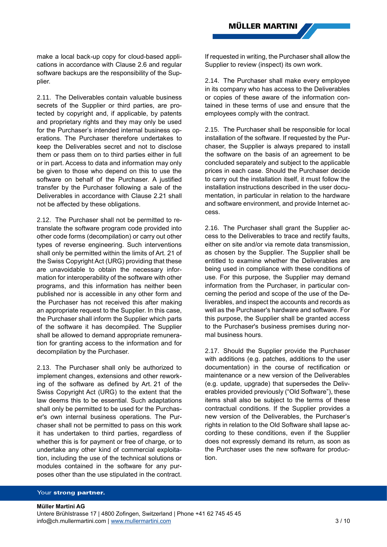make a local back-up copy for cloud-based applications in accordance with Clause [2.6](#page-1-0) and regular software backups are the responsibility of the Supplier.

2.11. The Deliverables contain valuable business secrets of the Supplier or third parties, are protected by copyright and, if applicable, by patents and proprietary rights and they may only be used for the Purchaser's intended internal business operations. The Purchaser therefore undertakes to keep the Deliverables secret and not to disclose them or pass them on to third parties either in full or in part. Access to data and information may only be given to those who depend on this to use the software on behalf of the Purchaser. A justified transfer by the Purchaser following a sale of the Deliverables in accordance with Clause [2.21](#page-3-1) shall not be affected by these obligations.

2.12. The Purchaser shall not be permitted to retranslate the software program code provided into other code forms (decompilation) or carry out other types of reverse engineering. Such interventions shall only be permitted within the limits of Art. 21 of the Swiss Copyright Act (URG) providing that these are unavoidable to obtain the necessary information for interoperability of the software with other programs, and this information has neither been published nor is accessible in any other form and the Purchaser has not received this after making an appropriate request to the Supplier. In this case, the Purchaser shall inform the Supplier which parts of the software it has decompiled. The Supplier shall be allowed to demand appropriate remuneration for granting access to the information and for decompilation by the Purchaser.

2.13. The Purchaser shall only be authorized to implement changes, extensions and other reworking of the software as defined by Art. 21 of the Swiss Copyright Act (URG) to the extent that the law deems this to be essential. Such adaptations shall only be permitted to be used for the Purchaser's own internal business operations. The Purchaser shall not be permitted to pass on this work it has undertaken to third parties, regardless of whether this is for payment or free of charge, or to undertake any other kind of commercial exploitation, including the use of the technical solutions or modules contained in the software for any purposes other than the use stipulated in the contract.

If requested in writing, the Purchaser shall allow the Supplier to review (inspect) its own work.

2.14. The Purchaser shall make every employee in its company who has access to the Deliverables or copies of these aware of the information contained in these terms of use and ensure that the employees comply with the contract.

2.15. The Purchaser shall be responsible for local installation of the software. If requested by the Purchaser, the Supplier is always prepared to install the software on the basis of an agreement to be concluded separately and subject to the applicable prices in each case. Should the Purchaser decide to carry out the installation itself, it must follow the installation instructions described in the user documentation, in particular in relation to the hardware and software environment, and provide Internet access.

2.16. The Purchaser shall grant the Supplier access to the Deliverables to trace and rectify faults, either on site and/or via remote data transmission, as chosen by the Supplier. The Supplier shall be entitled to examine whether the Deliverables are being used in compliance with these conditions of use. For this purpose, the Supplier may demand information from the Purchaser, in particular concerning the period and scope of the use of the Deliverables, and inspect the accounts and records as well as the Purchaser's hardware and software. For this purpose, the Supplier shall be granted access to the Purchaser's business premises during normal business hours.

2.17. Should the Supplier provide the Purchaser with additions (e.g. patches, additions to the user documentation) in the course of rectification or maintenance or a new version of the Deliverables (e.g. update, upgrade) that supersedes the Deliverables provided previously ("Old Software"), these items shall also be subject to the terms of these contractual conditions. If the Supplier provides a new version of the Deliverables, the Purchaser's rights in relation to the Old Software shall lapse according to these conditions, even if the Supplier does not expressly demand its return, as soon as the Purchaser uses the new software for production.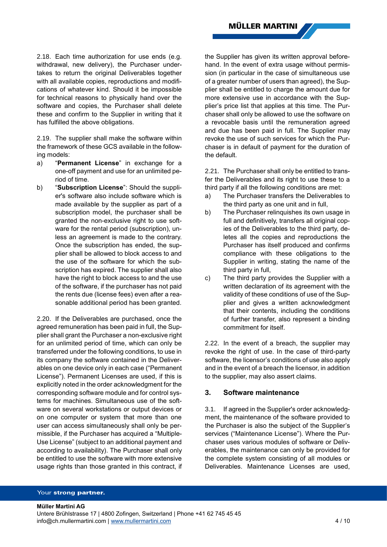2.18. Each time authorization for use ends (e.g. withdrawal, new delivery), the Purchaser undertakes to return the original Deliverables together with all available copies, reproductions and modifications of whatever kind. Should it be impossible for technical reasons to physically hand over the software and copies, the Purchaser shall delete these and confirm to the Supplier in writing that it has fulfilled the above obligations.

2.19. The supplier shall make the software within the framework of these GCS available in the following models:

- a) "**Permanent License**" in exchange for a one-off payment and use for an unlimited period of time.
- b) "**Subscription License**": Should the supplier's software also include software which is made available by the supplier as part of a subscription model, the purchaser shall be granted the non-exclusive right to use software for the rental period (subscription), unless an agreement is made to the contrary. Once the subscription has ended, the supplier shall be allowed to block access to and the use of the software for which the subscription has expired. The supplier shall also have the right to block access to and the use of the software, if the purchaser has not paid the rents due (license fees) even after a reasonable additional period has been granted.

<span id="page-3-0"></span>2.20. If the Deliverables are purchased, once the agreed remuneration has been paid in full, the Supplier shall grant the Purchaser a non-exclusive right for an unlimited period of time, which can only be transferred under the following conditions, to use in its company the software contained in the Deliverables on one device only in each case ("Permanent License"). Permanent Licenses are used, if this is explicitly noted in the order acknowledgment for the corresponding software module and for control systems for machines. Simultaneous use of the software on several workstations or output devices or on one computer or system that more than one user can access simultaneously shall only be permissible, if the Purchaser has acquired a "Multiple-Use License" (subject to an additional payment and according to availability). The Purchaser shall only be entitled to use the software with more extensive usage rights than those granted in this contract, if the Supplier has given its written approval beforehand. In the event of extra usage without permission (in particular in the case of simultaneous use of a greater number of users than agreed), the Supplier shall be entitled to charge the amount due for more extensive use in accordance with the Supplier's price list that applies at this time. The Purchaser shall only be allowed to use the software on a revocable basis until the remuneration agreed and due has been paid in full. The Supplier may revoke the use of such services for which the Purchaser is in default of payment for the duration of the default.

<span id="page-3-1"></span>2.21. The Purchaser shall only be entitled to transfer the Deliverables and its right to use these to a third party if all the following conditions are met:

- a) The Purchaser transfers the Deliverables to the third party as one unit and in full,
- b) The Purchaser relinquishes its own usage in full and definitively, transfers all original copies of the Deliverables to the third party, deletes all the copies and reproductions the Purchaser has itself produced and confirms compliance with these obligations to the Supplier in writing, stating the name of the third party in full,
- c) The third party provides the Supplier with a written declaration of its agreement with the validity of these conditions of use of the Supplier and gives a written acknowledgment that their contents, including the conditions of further transfer, also represent a binding commitment for itself.

2.22. In the event of a breach, the supplier may revoke the right of use. In the case of third-party software, the licensor's conditions of use also apply and in the event of a breach the licensor, in addition to the supplier, may also assert claims.

## **3. Software maintenance**

<span id="page-3-2"></span>3.1. If agreed in the Supplier's order acknowledgment, the maintenance of the software provided to the Purchaser is also the subject of the Supplier's services ("Maintenance License"). Where the Purchaser uses various modules of software or Deliverables, the maintenance can only be provided for the complete system consisting of all modules or Deliverables. Maintenance Licenses are used,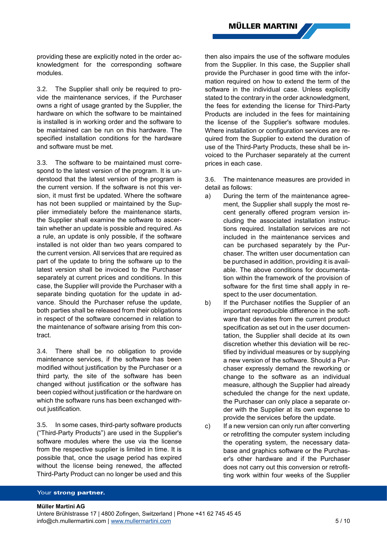providing these are explicitly noted in the order acknowledgment for the corresponding software modules.

3.2. The Supplier shall only be required to provide the maintenance services, if the Purchaser owns a right of usage granted by the Supplier, the hardware on which the software to be maintained is installed is in working order and the software to be maintained can be run on this hardware. The specified installation conditions for the hardware and software must be met.

3.3. The software to be maintained must correspond to the latest version of the program. It is understood that the latest version of the program is the current version. If the software is not this version, it must first be updated. Where the software has not been supplied or maintained by the Supplier immediately before the maintenance starts, the Supplier shall examine the software to ascertain whether an update is possible and required. As a rule, an update is only possible, if the software installed is not older than two years compared to the current version. All services that are required as part of the update to bring the software up to the latest version shall be invoiced to the Purchaser separately at current prices and conditions. In this case, the Supplier will provide the Purchaser with a separate binding quotation for the update in advance. Should the Purchaser refuse the update, both parties shall be released from their obligations in respect of the software concerned in relation to the maintenance of software arising from this contract.

3.4. There shall be no obligation to provide maintenance services, if the software has been modified without justification by the Purchaser or a third party, the site of the software has been changed without justification or the software has been copied without justification or the hardware on which the software runs has been exchanged without justification.

3.5. In some cases, third-party software products ("Third-Party Products") are used in the Supplier's software modules where the use via the license from the respective supplier is limited in time. It is possible that, once the usage period has expired without the license being renewed, the affected Third-Party Product can no longer be used and this

then also impairs the use of the software modules from the Supplier. In this case, the Supplier shall provide the Purchaser in good time with the information required on how to extend the term of the software in the individual case. Unless explicitly stated to the contrary in the order acknowledgment, the fees for extending the license for Third-Party Products are included in the fees for maintaining the license of the Supplier's software modules. Where installation or configuration services are required from the Supplier to extend the duration of use of the Third-Party Products, these shall be invoiced to the Purchaser separately at the current prices in each case.

3.6. The maintenance measures are provided in detail as follows:

- a) During the term of the maintenance agreement, the Supplier shall supply the most recent generally offered program version including the associated installation instructions required. Installation services are not included in the maintenance services and can be purchased separately by the Purchaser. The written user documentation can be purchased in addition, providing it is available. The above conditions for documentation within the framework of the provision of software for the first time shall apply in respect to the user documentation.
- b) If the Purchaser notifies the Supplier of an important reproducible difference in the software that deviates from the current product specification as set out in the user documentation, the Supplier shall decide at its own discretion whether this deviation will be rectified by individual measures or by supplying a new version of the software. Should a Purchaser expressly demand the reworking or change to the software as an individual measure, although the Supplier had already scheduled the change for the next update, the Purchaser can only place a separate order with the Supplier at its own expense to provide the services before the update.
- c) If a new version can only run after converting or retrofitting the computer system including the operating system, the necessary database and graphics software or the Purchaser's other hardware and if the Purchaser does not carry out this conversion or retrofitting work within four weeks of the Supplier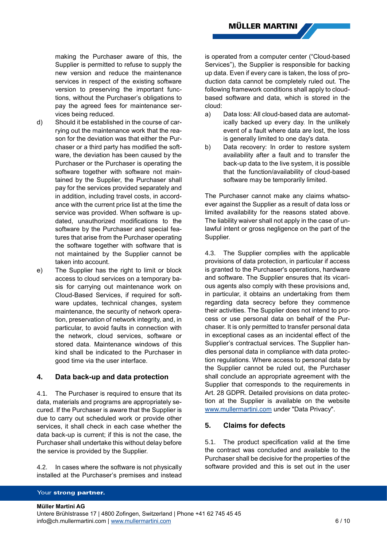making the Purchaser aware of this, the Supplier is permitted to refuse to supply the new version and reduce the maintenance services in respect of the existing software version to preserving the important functions, without the Purchaser's obligations to pay the agreed fees for maintenance services being reduced.

- d) Should it be established in the course of carrying out the maintenance work that the reason for the deviation was that either the Purchaser or a third party has modified the software, the deviation has been caused by the Purchaser or the Purchaser is operating the software together with software not maintained by the Supplier, the Purchaser shall pay for the services provided separately and in addition, including travel costs, in accordance with the current price list at the time the service was provided. When software is updated, unauthorized modifications to the software by the Purchaser and special features that arise from the Purchaser operating the software together with software that is not maintained by the Supplier cannot be taken into account.
- e) The Supplier has the right to limit or block access to cloud services on a temporary basis for carrying out maintenance work on Cloud-Based Services, if required for software updates, technical changes, system maintenance, the security of network operation, preservation of network integrity, and, in particular, to avoid faults in connection with the network, cloud services, software or stored data. Maintenance windows of this kind shall be indicated to the Purchaser in good time via the user interface.

#### **4. Data back-up and data protection**

4.1. The Purchaser is required to ensure that its data, materials and programs are appropriately secured. If the Purchaser is aware that the Supplier is due to carry out scheduled work or provide other services, it shall check in each case whether the data back-up is current; if this is not the case, the Purchaser shall undertake this without delay before the service is provided by the Supplier.

4.2. In cases where the software is not physically installed at the Purchaser's premises and instead is operated from a computer center ("Cloud-based Services"), the Supplier is responsible for backing up data. Even if every care is taken, the loss of production data cannot be completely ruled out. The following framework conditions shall apply to cloudbased software and data, which is stored in the cloud:

- a) Data loss: All cloud-based data are automatically backed up every day. In the unlikely event of a fault where data are lost, the loss is generally limited to one day's data.
- b) Data recovery: In order to restore system availability after a fault and to transfer the back-up data to the live system, it is possible that the function/availability of cloud-based software may be temporarily limited.

The Purchaser cannot make any claims whatsoever against the Supplier as a result of data loss or limited availability for the reasons stated above. The liability waiver shall not apply in the case of unlawful intent or gross negligence on the part of the Supplier.

4.3. The Supplier complies with the applicable provisions of data protection, in particular if access is granted to the Purchaser's operations, hardware and software. The Supplier ensures that its vicarious agents also comply with these provisions and, in particular, it obtains an undertaking from them regarding data secrecy before they commence their activities. The Supplier does not intend to process or use personal data on behalf of the Purchaser. It is only permitted to transfer personal data in exceptional cases as an incidental effect of the Supplier's contractual services. The Supplier handles personal data in compliance with data protection regulations. Where access to personal data by the Supplier cannot be ruled out, the Purchaser shall conclude an appropriate agreement with the Supplier that corresponds to the requirements in Art. 28 GDPR. Detailed provisions on data protection at the Supplier is available on the website [www.mullermartini.com](http://www.mullermartini.com/) under "Data Privacy".

## **5. Claims for defects**

5.1. The product specification valid at the time the contract was concluded and available to the Purchaser shall be decisive for the properties of the software provided and this is set out in the user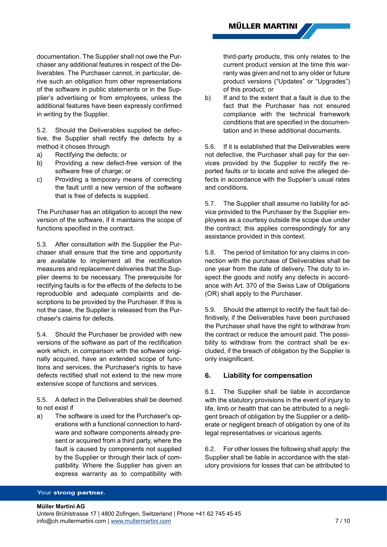documentation. The Supplier shall not owe the Purchaser any additional features in respect of the Deliverables. The Purchaser cannot, in particular, derive such an obligation from other representations of the software in public statements or in the Supplier's advertising or from employees, unless the additional features have been expressly confirmed in writing by the Supplier.

5.2. Should the Deliverables supplied be defective, the Supplier shall rectify the defects by a method it choses through

- a) Rectifying the defects; or
- b) Providing a new defect-free version of the software free of charge; or
- c) Providing a temporary means of correcting the fault until a new version of the software that is free of defects is supplied.

The Purchaser has an obligation to accept the new version of the software, if it maintains the scope of functions specified in the contract.

5.3. After consultation with the Supplier the Purchaser shall ensure that the time and opportunity are available to implement all the rectification measures and replacement deliveries that the Supplier deems to be necessary. The prerequisite for rectifying faults is for the effects of the defects to be reproducible and adequate complaints and descriptions to be provided by the Purchaser. If this is not the case, the Supplier is released from the Purchaser's claims for defects.

5.4. Should the Purchaser be provided with new versions of the software as part of the rectification work which, in comparison with the software originally acquired, have an extended scope of functions and services, the Purchaser's rights to have defects rectified shall not extend to the new more extensive scope of functions and services.

5.5. A defect in the Deliverables shall be deemed to not exist if

a) The software is used for the Purchaser's operations with a functional connection to hardware and software components already present or acquired from a third party, where the fault is caused by components not supplied by the Supplier or through their lack of compatibility. Where the Supplier has given an express warranty as to compatibility with

third-party products, this only relates to the current product version at the time this warranty was given and not to any older or future product versions ("Updates" or "Upgrades") of this product; or

b) If and to the extent that a fault is due to the fact that the Purchaser has not ensured compliance with the technical framework conditions that are specified in the documentation and in these additional documents.

5.6. If it is established that the Deliverables were not defective, the Purchaser shall pay for the services provided by the Supplier to rectify the reported faults or to locate and solve the alleged defects in accordance with the Supplier's usual rates and conditions.

5.7. The Supplier shall assume no liability for advice provided to the Purchaser by the Supplier employees as a courtesy outside the scope due under the contract; this applies correspondingly for any assistance provided in this context.

5.8. The period of limitation for any claims in connection with the purchase of Deliverables shall be one year from the date of delivery. The duty to inspect the goods and notify any defects in accordance with Art. 370 of the Swiss Law of Obligations (OR) shall apply to the Purchaser.

5.9. Should the attempt to rectify the fault fail definitively, if the Deliverables have been purchased the Purchaser shall have the right to withdraw from the contract or reduce the amount paid. The possibility to withdraw from the contract shall be excluded, if the breach of obligation by the Supplier is only insignificant.

## **6. Liability for compensation**

6.1. The Supplier shall be liable in accordance with the statutory provisions in the event of injury to life, limb or health that can be attributed to a negligent breach of obligation by the Supplier or a deliberate or negligent breach of obligation by one of its legal representatives or vicarious agents.

6.2. For other losses the following shall apply: the Supplier shall be liable in accordance with the statutory provisions for losses that can be attributed to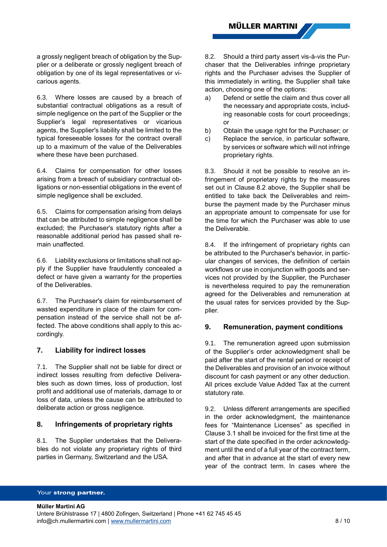a grossly negligent breach of obligation by the Supplier or a deliberate or grossly negligent breach of obligation by one of its legal representatives or vicarious agents.

6.3. Where losses are caused by a breach of substantial contractual obligations as a result of simple negligence on the part of the Supplier or the Supplier's legal representatives or vicarious agents, the Supplier's liability shall be limited to the typical foreseeable losses for the contract overall up to a maximum of the value of the Deliverables where these have been purchased.

6.4. Claims for compensation for other losses arising from a breach of subsidiary contractual obligations or non-essential obligations in the event of simple negligence shall be excluded.

6.5. Claims for compensation arising from delays that can be attributed to simple negligence shall be excluded; the Purchaser's statutory rights after a reasonable additional period has passed shall remain unaffected.

6.6. Liability exclusions or limitations shall not apply if the Supplier have fraudulently concealed a defect or have given a warranty for the properties of the Deliverables.

6.7. The Purchaser's claim for reimbursement of wasted expenditure in place of the claim for compensation instead of the service shall not be affected. The above conditions shall apply to this accordingly.

## **7. Liability for indirect losses**

7.1. The Supplier shall not be liable for direct or indirect losses resulting from defective Deliverables such as down times, loss of production, lost profit and additional use of materials, damage to or loss of data, unless the cause can be attributed to deliberate action or gross negligence.

# **8. Infringements of proprietary rights**

8.1. The Supplier undertakes that the Deliverables do not violate any proprietary rights of third parties in Germany, Switzerland and the USA.

8.2. Should a third party assert vis-à-vis the Purchaser that the Deliverables infringe proprietary rights and the Purchaser advises the Supplier of this immediately in writing, the Supplier shall take action, choosing one of the options:

- a) Defend or settle the claim and thus cover all the necessary and appropriate costs, including reasonable costs for court proceedings; or
- b) Obtain the usage right for the Purchaser; or
- c) Replace the service, in particular software, by services or software which will not infringe proprietary rights.

8.3. Should it not be possible to resolve an infringement of proprietary rights by the measures set out in Clause 8.2 above, the Supplier shall be entitled to take back the Deliverables and reimburse the payment made by the Purchaser minus an appropriate amount to compensate for use for the time for which the Purchaser was able to use the Deliverable.

8.4. If the infringement of proprietary rights can be attributed to the Purchaser's behavior, in particular changes of services, the definition of certain workflows or use in conjunction with goods and services not provided by the Supplier, the Purchaser is nevertheless required to pay the remuneration agreed for the Deliverables and remuneration at the usual rates for services provided by the Supplier.

## **9. Remuneration, payment conditions**

9.1. The remuneration agreed upon submission of the Supplier's order acknowledgment shall be paid after the start of the rental period or receipt of the Deliverables and provision of an invoice without discount for cash payment or any other deduction. All prices exclude Value Added Tax at the current statutory rate.

9.2. Unless different arrangements are specified in the order acknowledgment, the maintenance fees for "Maintenance Licenses" as specified in Clause [3.1](#page-3-2) shall be invoiced for the first time at the start of the date specified in the order acknowledgment until the end of a full year of the contract term, and after that in advance at the start of every new year of the contract term. In cases where the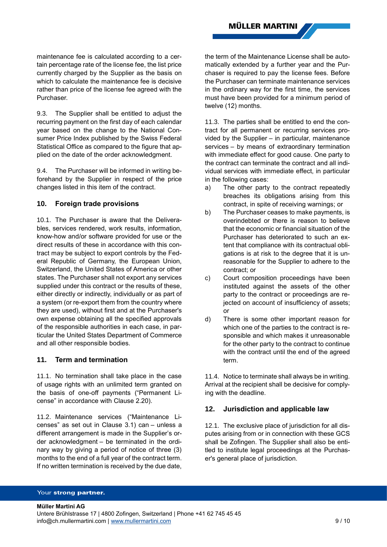maintenance fee is calculated according to a certain percentage rate of the license fee, the list price currently charged by the Supplier as the basis on which to calculate the maintenance fee is decisive rather than price of the license fee agreed with the Purchaser.

9.3. The Supplier shall be entitled to adjust the recurring payment on the first day of each calendar year based on the change to the National Consumer Price Index published by the Swiss Federal Statistical Office as compared to the figure that applied on the date of the order acknowledgment.

9.4. The Purchaser will be informed in writing beforehand by the Supplier in respect of the price changes listed in this item of the contract.

### **10. Foreign trade provisions**

10.1. The Purchaser is aware that the Deliverables, services rendered, work results, information, know-how and/or software provided for use or the direct results of these in accordance with this contract may be subject to export controls by the Federal Republic of Germany, the European Union, Switzerland, the United States of America or other states. The Purchaser shall not export any services supplied under this contract or the results of these, either directly or indirectly, individually or as part of a system (or re-export them from the country where they are used), without first and at the Purchaser's own expense obtaining all the specified approvals of the responsible authorities in each case, in particular the United States Department of Commerce and all other responsible bodies.

### **11. Term and termination**

11.1. No termination shall take place in the case of usage rights with an unlimited term granted on the basis of one-off payments ("Permanent License" in accordance with Clause [2.20\)](#page-3-0).

11.2. Maintenance services ("Maintenance Licenses" as set out in Clause [3.1\)](#page-3-2) can – unless a different arrangement is made in the Supplier's order acknowledgment – be terminated in the ordinary way by giving a period of notice of three (3) months to the end of a full year of the contract term. If no written termination is received by the due date,

the term of the Maintenance License shall be automatically extended by a further year and the Purchaser is required to pay the license fees. Before the Purchaser can terminate maintenance services in the ordinary way for the first time, the services must have been provided for a minimum period of twelve (12) months.

11.3. The parties shall be entitled to end the contract for all permanent or recurring services provided by the Supplier – in particular, maintenance services – by means of extraordinary termination with immediate effect for good cause. One party to the contract can terminate the contract and all individual services with immediate effect, in particular in the following cases:

- a) The other party to the contract repeatedly breaches its obligations arising from this contract, in spite of receiving warnings; or
- b) The Purchaser ceases to make payments, is overindebted or there is reason to believe that the economic or financial situation of the Purchaser has deteriorated to such an extent that compliance with its contractual obligations is at risk to the degree that it is unreasonable for the Supplier to adhere to the contract; or
- c) Court composition proceedings have been instituted against the assets of the other party to the contract or proceedings are rejected on account of insufficiency of assets; or
- d) There is some other important reason for which one of the parties to the contract is responsible and which makes it unreasonable for the other party to the contract to continue with the contract until the end of the agreed term.

11.4. Notice to terminate shall always be in writing. Arrival at the recipient shall be decisive for complying with the deadline.

## **12. Jurisdiction and applicable law**

12.1. The exclusive place of jurisdiction for all disputes arising from or in connection with these GCS shall be Zofingen. The Supplier shall also be entitled to institute legal proceedings at the Purchaser's general place of jurisdiction.